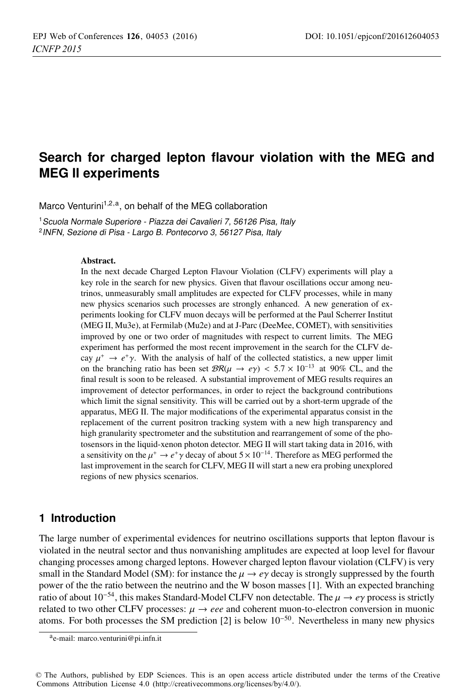# **Search for charged lepton flavour violation with the MEG and MEG II experiments**

Marco Venturini<sup>1,2,a</sup>, on behalf of the MEG collaboration

<sup>1</sup> Scuola Normale Superiore - Piazza dei Cavalieri 7, 56126 Pisa, Italy <sup>2</sup>INFN, Sezione di Pisa - Largo B. Pontecorvo 3, 56127 Pisa, Italy

In the next decade Charged Lepton Flavour Violation (CLFV) experiments will play a key role in the search for new physics. Given that flavour oscillations occur among neutrinos, unmeasurably small amplitudes are expected for CLFV processes, while in many new physics scenarios such processes are strongly enhanced. A new generation of experiments looking for CLFV muon decays will be performed at the Paul Scherrer Institut (MEG II, Mu3e), at Fermilab (Mu2e) and at J-Parc (DeeMee, COMET), with sensitivities improved by one or two order of magnitudes with respect to current limits. The MEG experiment has performed the most recent improvement in the search for the CLFV decay  $\mu^+ \to e^+ \gamma$ . With the analysis of half of the collected statistics, a new upper limit on the branching ratio has been set  $\mathcal{BR}(\mu \to e\gamma) < 5.7 \times 10^{-13}$  at 90% CL, and the final result is soon to be released. A substantial improvement of MEG results requires an improvement of detector performances, in order to reject the background contributions which limit the signal sensitivity. This will be carried out by a short-term upgrade of the apparatus, MEG II. The major modifications of the experimental apparatus consist in the replacement of the current positron tracking system with a new high transparency and high granularity spectrometer and the substitution and rearrangement of some of the photosensors in the liquid-xenon photon detector. MEG II will start taking data in 2016, with a sensitivity on the  $\mu^+ \to e^+ \gamma$  decay of about  $5 \times 10^{-14}$ . Therefore as MEG performed the last improvement in the search for CLFV, MEG II will start a new era probing unexplored regions of new physics scenarios.

# **1 Introduction**

The large number of experimental evidences for neutrino oscillations supports that lepton flavour is violated in the neutral sector and thus nonvanishing amplitudes are expected at loop level for flavour changing processes among charged leptons. However charged lepton flavour violation (CLFV) is very small in the Standard Model (SM): for instance the  $\mu \rightarrow e\gamma$  decay is strongly suppressed by the fourth power of the the ratio between the neutrino and the W boson masses [1]. With an expected branching ratio of about 10<sup>−54</sup>, this makes Standard-Model CLFV non detectable. The  $\mu \to e\gamma$  process is strictly related to two other CLFV processes:  $\mu \to eee$  and coherent muon-to-electron conversion in muonic related to two other CLFV processes:  $\mu \rightarrow eee$  and coherent muon-to-electron conversion in muonic atoms. For both processes the SM prediction [2] is below 10<sup>−50</sup>. Nevertheless in many new physics

ae-mail: marco.venturini@pi.infn.it

<sup>©</sup> The Authors, published by EDP Sciences. This is an open access article distributed under the terms of the Creative Commons Attribution License 4.0 (http://creativecommons.org/licenses/by/4.0/).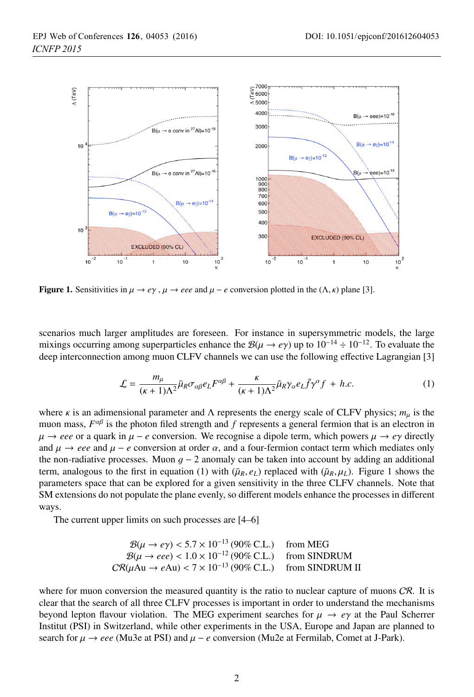

Figure 1. Sensitivities in  $\mu \to e\gamma$ ,  $\mu \to eee$  and  $\mu - e$  conversion plotted in the  $(\Lambda, \kappa)$  plane [3].

scenarios much larger amplitudes are foreseen. For instance in supersymmetric models, the large mixings occurring among superparticles enhance the  $\mathcal{B}(\mu \to e\gamma)$  up to  $10^{-14} \div 10^{-12}$ . To evaluate the deep interconnection among muon CLFV channels we can use the following effective Lagrangian [3]

$$
\mathcal{L} = \frac{m_{\mu}}{(\kappa + 1)\Lambda^2} \bar{\mu}_R \sigma_{\alpha\beta} e_L F^{\alpha\beta} + \frac{\kappa}{(\kappa + 1)\Lambda^2} \bar{\mu}_R \gamma_\alpha e_L \bar{f} \gamma^\alpha f + h.c.
$$
 (1)

where  $\kappa$  is an adimensional parameter and  $\Lambda$  represents the energy scale of CLFV physics;  $m_{\mu}$  is the muon mass,  $F^{\alpha\beta}$  is the photon filed strength and *f* represents a general fermion that is an electron in  $\mu \rightarrow eee$  or a quark in  $\mu - e$  conversion. We recognise a dipole term, which powers  $\mu \rightarrow e\gamma$  directly and  $\mu \rightarrow eee$  and  $\mu - e$  conversion at order  $\alpha$ , and a four-fermion contact term which mediates only the non-radiative processes. Muon  $g - 2$  anomaly can be taken into account by adding an additional term, analogous to the first in equation (1) with  $(\bar{\mu}_R, e_L)$  replaced with  $(\bar{\mu}_R, \mu_L)$ . Figure 1 shows the parameters space that can be explored for a given sensitivity in the three CLFV channels. Note that SM extensions do not populate the plane evenly, so different models enhance the processes in different ways.

The current upper limits on such processes are [4–6]

$$
\mathcal{B}(\mu \to e\gamma) < 5.7 \times 10^{-13} \, (90\% \, \text{C.L.}) \quad \text{from MEG}
$$
\n
$$
\mathcal{B}(\mu \to eee) < 1.0 \times 10^{-12} \, (90\% \, \text{C.L.}) \quad \text{from SINDRUM}
$$
\n
$$
\text{CR}(\mu \text{Au} \to e\text{Au}) < 7 \times 10^{-13} \, (90\% \, \text{C.L.}) \quad \text{from SINDRUM II}
$$

where for muon conversion the measured quantity is the ratio to nuclear capture of muons  $CR$ . It is clear that the search of all three CLFV processes is important in order to understand the mechanisms beyond lepton flavour violation. The MEG experiment searches for  $\mu \to e\gamma$  at the Paul Scherrer Institut (PSI) in Switzerland, while other experiments in the USA, Europe and Japan are planned to search for  $\mu \to eee$  (Mu3e at PSI) and  $\mu - e$  conversion (Mu2e at Fermilab, Comet at J-Park).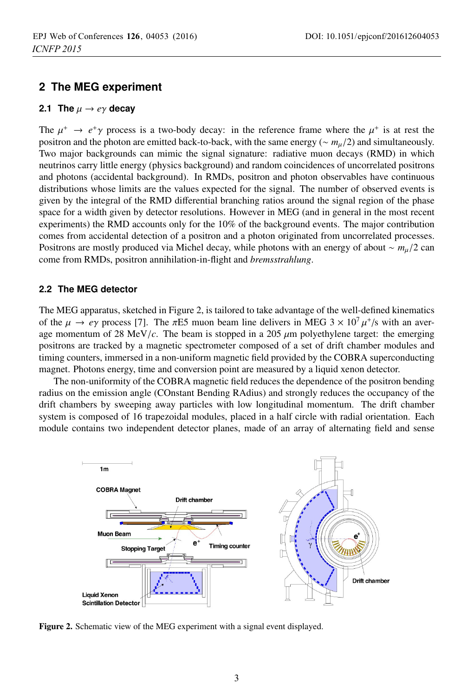# **2 The MEG experiment**

#### **2.1 The**  $\mu \rightarrow e\gamma$  decay

The  $\mu^+ \to e^+ \gamma$  process is a two-body decay: in the reference frame where the  $\mu^+$  is at rest the positron and the photon are emitted back-to-back, with the same energy (<sup>∼</sup> *<sup>m</sup>*μ/2) and simultaneously. Two major backgrounds can mimic the signal signature: radiative muon decays (RMD) in which neutrinos carry little energy (physics background) and random coincidences of uncorrelated positrons and photons (accidental background). In RMDs, positron and photon observables have continuous distributions whose limits are the values expected for the signal. The number of observed events is given by the integral of the RMD differential branching ratios around the signal region of the phase space for a width given by detector resolutions. However in MEG (and in general in the most recent experiments) the RMD accounts only for the 10% of the background events. The major contribution comes from accidental detection of a positron and a photon originated from uncorrelated processes. Positrons are mostly produced via Michel decay, while photons with an energy of about <sup>∼</sup> *<sup>m</sup>*μ/2 can come from RMDs, positron annihilation-in-flight and *bremsstrahlung*.

### **2.2 The MEG detector**

The MEG apparatus, sketched in Figure 2, is tailored to take advantage of the well-defined kinematics of the  $\mu \to e\gamma$  process [7]. The  $\pi$ E5 muon beam line delivers in MEG 3  $\times$  10<sup>7</sup>  $\mu$ <sup>+</sup>/s with an average momentum of 28 MeV/ $c$ . The beam is stopped in a 205  $\mu$ m polyethylene target: the emerging positrons are tracked by a magnetic spectrometer composed of a set of drift chamber modules and timing counters, immersed in a non-uniform magnetic field provided by the COBRA superconducting magnet. Photons energy, time and conversion point are measured by a liquid xenon detector.

The non-uniformity of the COBRA magnetic field reduces the dependence of the positron bending radius on the emission angle (COnstant Bending RAdius) and strongly reduces the occupancy of the drift chambers by sweeping away particles with low longitudinal momentum. The drift chamber system is composed of 16 trapezoidal modules, placed in a half circle with radial orientation. Each module contains two independent detector planes, made of an array of alternating field and sense



Figure 2. Schematic view of the MEG experiment with a signal event displayed.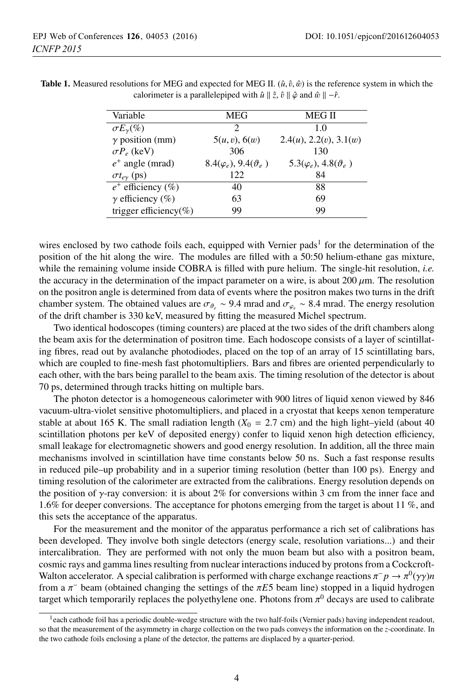| Variable                  | <b>MEG</b>                         | MEG II                                |
|---------------------------|------------------------------------|---------------------------------------|
| $\sigma E_{\gamma}(\%)$   | $\mathcal{D}$                      | 1.0                                   |
| $\gamma$ position (mm)    | 5(u, v), 6(w)                      | $2.4(u)$ , $2.2(v)$ , $3.1(w)$        |
| $\sigma P_e$ (keV)        | 306                                | 130                                   |
| $e^+$ angle (mrad)        | $8.4(\varphi_e), 9.4(\vartheta_e)$ | $5.3(\varphi_e)$ , $4.8(\vartheta_e)$ |
| $\sigma t_{e\gamma}$ (ps) | 122                                | 84                                    |
| $e^+$ efficiency (%)      | 40                                 | 88                                    |
| $\gamma$ efficiency (%)   | 63                                 | 69                                    |
| trigger efficiency(%)     | 99                                 | 99                                    |

**Table 1.** Measured resolutions for MEG and expected for MEG II.  $(\hat{u}, \hat{v}, \hat{w})$  is the reference system in which the calorimeter is a parallelepiped with  $\hat{u} \parallel \hat{z}$ ,  $\hat{v} \parallel \hat{\varphi}$  and  $\hat{w} \parallel -\hat{r}$ .

wires enclosed by two cathode foils each, equipped with Vernier pads<sup>1</sup> for the determination of the position of the hit along the wire. The modules are filled with a 50:50 helium-ethane gas mixture, while the remaining volume inside COBRA is filled with pure helium. The single-hit resolution, *i.e.* the accuracy in the determination of the impact parameter on a wire, is about 200  $\mu$ m. The resolution on the positron angle is determined from data of events where the positron makes two turns in the drift chamber system. The obtained values are  $\sigma_{\theta_e} \sim 9.4$  mrad and  $\sigma_{\varphi_e} \sim 8.4$  mrad. The energy resolution of the drift chamber is 330 keV, measured by fitting the measured Michel spectrum.

Two identical hodoscopes (timing counters) are placed at the two sides of the drift chambers along the beam axis for the determination of positron time. Each hodoscope consists of a layer of scintillating fibres, read out by avalanche photodiodes, placed on the top of an array of 15 scintillating bars, which are coupled to fine-mesh fast photomultipliers. Bars and fibres are oriented perpendicularly to each other, with the bars being parallel to the beam axis. The timing resolution of the detector is about 70 ps, determined through tracks hitting on multiple bars.

The photon detector is a homogeneous calorimeter with 900 litres of liquid xenon viewed by 846 vacuum-ultra-violet sensitive photomultipliers, and placed in a cryostat that keeps xenon temperature stable at about 165 K. The small radiation length  $(X_0 = 2.7 \text{ cm})$  and the high light–yield (about 40) scintillation photons per keV of deposited energy) confer to liquid xenon high detection efficiency, small leakage for electromagnetic showers and good energy resolution. In addition, all the three main mechanisms involved in scintillation have time constants below 50 ns. Such a fast response results in reduced pile–up probability and in a superior timing resolution (better than 100 ps). Energy and timing resolution of the calorimeter are extracted from the calibrations. Energy resolution depends on the position of  $\gamma$ -ray conversion: it is about 2% for conversions within 3 cm from the inner face and 1.6% for deeper conversions. The acceptance for photons emerging from the target is about 11 %, and this sets the acceptance of the apparatus.

For the measurement and the monitor of the apparatus performance a rich set of calibrations has been developed. They involve both single detectors (energy scale, resolution variations...) and their intercalibration. They are performed with not only the muon beam but also with a positron beam, cosmic rays and gamma lines resulting from nuclear interactions induced by protons from a Cockcroft-Walton accelerator. A special calibration is performed with charge exchange reactions  $\pi^- p \to \pi^0(\gamma\gamma)n$ from a <sup>π</sup><sup>−</sup> beam (obtained changing the settings of the π*E*5 beam line) stopped in a liquid hydrogen target which temporarily replaces the polyethylene one. Photons from  $\pi^0$  decays are used to calibrate

 $<sup>1</sup>$ each cathode foil has a periodic double-wedge structure with the two half-foils (Vernier pads) having independent readout,</sup> so that the measurement of the asymmetry in charge collection on the two pads conveys the information on the *z*-coordinate. In the two cathode foils enclosing a plane of the detector, the patterns are displaced by a quarter-period.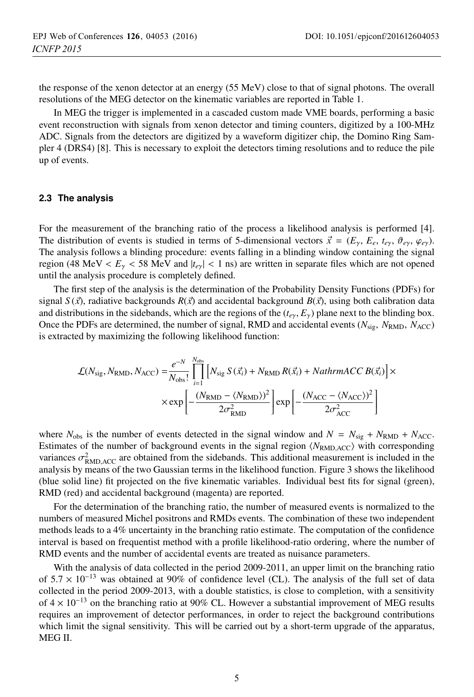the response of the xenon detector at an energy (55 MeV) close to that of signal photons. The overall resolutions of the MEG detector on the kinematic variables are reported in Table 1.

In MEG the trigger is implemented in a cascaded custom made VME boards, performing a basic event reconstruction with signals from xenon detector and timing counters, digitized by a 100-MHz ADC. Signals from the detectors are digitized by a waveform digitizer chip, the Domino Ring Sampler 4 (DRS4) [8]. This is necessary to exploit the detectors timing resolutions and to reduce the pile up of events.

#### **2.3 The analysis**

For the measurement of the branching ratio of the process a likelihood analysis is performed [4]. The distribution of events is studied in terms of 5-dimensional vectors  $\vec{x} = (E_{\gamma}, E_{e}, t_{e\gamma}, \vartheta_{e\gamma}, \varphi_{e\gamma})$ .<br>The analysis follows a blinding procedure: events falling in a blinding window containing the signal The analysis follows a blinding procedure: events falling in a blinding window containing the signal region (48 MeV  $\lt E_y \lt 58$  MeV and  $|t_{ey}| \lt 1$  ns) are written in separate files which are not opened until the analysis procedure is completely defined.

The first step of the analysis is the determination of the Probability Density Functions (PDFs) for signal  $S(\vec{x})$ , radiative backgrounds  $R(\vec{x})$  and accidental background  $B(\vec{x})$ , using both calibration data and distributions in the sidebands, which are the regions of the  $(t - \vec{F})$  plane next to the blinding box and distributions in the sidebands, which are the regions of the  $(t_{e\gamma}, E_{\gamma})$  plane next to the blinding box. Once the PDFs are determined, the number of signal, RMD and accidental events ( $N_{\text{sig}}$ ,  $N_{\text{RMD}}$ ,  $N_{\text{ACC}}$ ) is extracted by maximizing the following likelihood function:

$$
\mathcal{L}(N_{\text{sig}}, N_{\text{RMD}}, N_{\text{ACC}}) = \frac{e^{-N}}{N_{\text{obs}}} \prod_{i=1}^{N_{\text{obs}}} \left[ N_{\text{sig}} S(\vec{x_i}) + N_{\text{RMD}} R(\vec{x_i}) + \text{NathrmACC B}(\vec{x_i}) \right] \times \exp \left[ -\frac{(N_{\text{RMD}} - \langle N_{\text{RMD}} \rangle)^2}{2\sigma_{\text{RMD}}^2} \right] \exp \left[ -\frac{(N_{\text{ACC}} - \langle N_{\text{ACC}} \rangle)^2}{2\sigma_{\text{ACC}}^2} \right]
$$

where  $N_{\text{obs}}$  is the number of events detected in the signal window and  $N = N_{\text{sig}} + N_{\text{RMD}} + N_{\text{ACC}}$ . Estimates of the number of background events in the signal region *(N<sub>RMD,ACC</sub>)* with corresponding variances  $\sigma_{\text{RMD,ACC}}^2$  are obtained from the sidebands. This additional measurement is included in the analysis by means of the two Gaussian terms in the likelihood function. Figure 3 shows the likelihood analysis by means of the two Gaussian terms in the likelihood function. Figure 3 shows the likelihood (blue solid line) fit projected on the five kinematic variables. Individual best fits for signal (green), RMD (red) and accidental background (magenta) are reported.

For the determination of the branching ratio, the number of measured events is normalized to the numbers of measured Michel positrons and RMDs events. The combination of these two independent methods leads to a 4% uncertainty in the branching ratio estimate. The computation of the confidence interval is based on frequentist method with a profile likelihood-ratio ordering, where the number of RMD events and the number of accidental events are treated as nuisance parameters.

With the analysis of data collected in the period 2009-2011, an upper limit on the branching ratio of 5.<sup>7</sup> <sup>×</sup> <sup>10</sup>−<sup>13</sup> was obtained at 90% of confidence level (CL). The analysis of the full set of data collected in the period 2009-2013, with a double statistics, is close to completion, with a sensitivity of 4 <sup>×</sup> <sup>10</sup>−<sup>13</sup> on the branching ratio at 90% CL. However a substantial improvement of MEG results requires an improvement of detector performances, in order to reject the background contributions which limit the signal sensitivity. This will be carried out by a short-term upgrade of the apparatus, MEG II.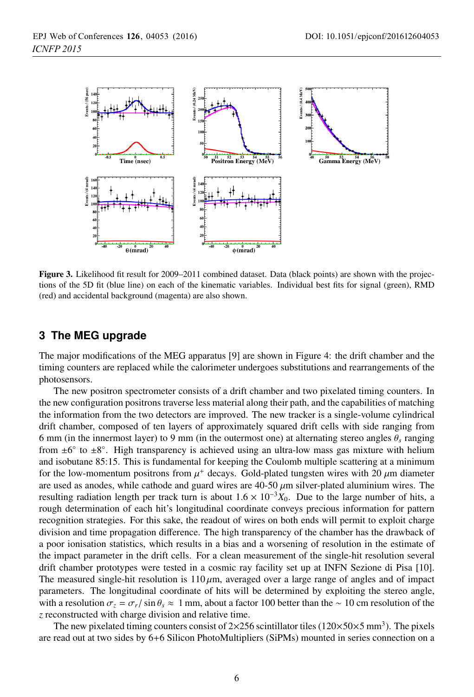

Figure 3. Likelihood fit result for 2009–2011 combined dataset. Data (black points) are shown with the projections of the 5D fit (blue line) on each of the kinematic variables. Individual best fits for signal (green), RMD (red) and accidental background (magenta) are also shown.

# **3 The MEG upgrade**

The major modifications of the MEG apparatus [9] are shown in Figure 4: the drift chamber and the timing counters are replaced while the calorimeter undergoes substitutions and rearrangements of the photosensors.

The new positron spectrometer consists of a drift chamber and two pixelated timing counters. In the new configuration positrons traverse less material along their path, and the capabilities of matching the information from the two detectors are improved. The new tracker is a single-volume cylindrical drift chamber, composed of ten layers of approximately squared drift cells with side ranging from 6 mm (in the innermost layer) to 9 mm (in the outermost one) at alternating stereo angles <sup>θ</sup>*<sup>s</sup>* ranging from  $\pm 6^\circ$  to  $\pm 8^\circ$ . High transparency is achieved using an ultra-low mass gas mixture with helium and isobutane 85:15. This is fundamental for keeping the Coulomb multiple scattering at a minimum for the low-momentum positrons from  $\mu^+$  decays. Gold-plated tungsten wires with 20  $\mu$ m diameter are used as anodes, while cathode and guard wires are  $40-50 \mu m$  silver-plated aluminium wires. The resulting radiation length per track turn is about  $1.6 \times 10^{-3} X_0$ . Due to the large number of hits, a rough determination of each hit's longitudinal coordinate conveys precious information for pattern recognition strategies. For this sake, the readout of wires on both ends will permit to exploit charge division and time propagation difference. The high transparency of the chamber has the drawback of a poor ionisation statistics, which results in a bias and a worsening of resolution in the estimate of the impact parameter in the drift cells. For a clean measurement of the single-hit resolution several drift chamber prototypes were tested in a cosmic ray facility set up at INFN Sezione di Pisa [10]. The measured single-hit resolution is  $110 \mu m$ , averaged over a large range of angles and of impact parameters. The longitudinal coordinate of hits will be determined by exploiting the stereo angle, with a resolution  $\sigma_z = \sigma_r / \sin \theta_s \approx 1$  mm, about a factor 100 better than the ~ 10 cm resolution of the *z* reconstructed with charge division and relative time.

The new pixelated timing counters consist of  $2\times256$  scintillator tiles ( $120\times50\times5$  mm<sup>3</sup>). The pixels are read out at two sides by 6+6 Silicon PhotoMultipliers (SiPMs) mounted in series connection on a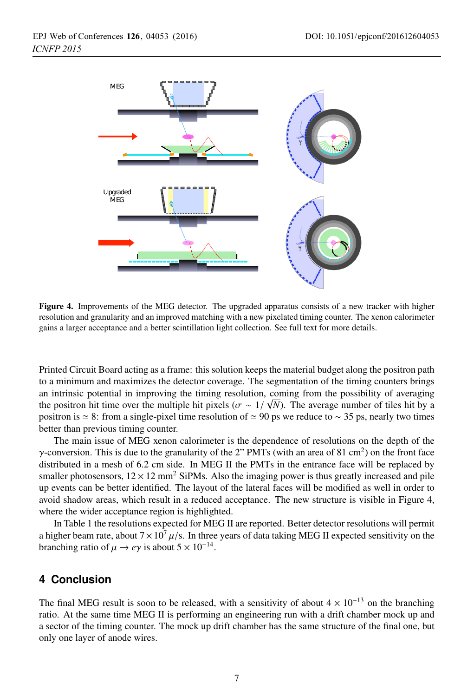

Figure 4. Improvements of the MEG detector. The upgraded apparatus consists of a new tracker with higher resolution and granularity and an improved matching with a new pixelated timing counter. The xenon calorimeter gains a larger acceptance and a better scintillation light collection. See full text for more details.

Printed Circuit Board acting as a frame: this solution keeps the material budget along the positron path to a minimum and maximizes the detector coverage. The segmentation of the timing counters brings an intrinsic potential in improving the timing resolution, coming from the possibility of averaging the positron hit time over the multiple hit pixels ( $\sigma \sim 1/\sqrt{N}$ ). The average number of tiles hit by a<br>positron is  $\sim 8$ ; from a single-pixel time resolution of  $\sim 90$  ps we reduce to  $\sim 35$  ps, pearly two times positron is  $\simeq 8$ : from a single-pixel time resolution of  $\simeq 90$  ps we reduce to  $\sim 35$  ps, nearly two times better than previous timing counter.

The main issue of MEG xenon calorimeter is the dependence of resolutions on the depth of the γ-conversion. This is due to the granularity of the 2" PMTs (with an area of 81 cm<sup>2</sup>) on the front face distributed in a mesh of 6.2 cm side. In MEG II the PMTs in the entrance face will be replaced by smaller photosensors,  $12 \times 12$  mm<sup>2</sup> SiPMs. Also the imaging power is thus greatly increased and pile up events can be better identified. The layout of the lateral faces will be modified as well in order to avoid shadow areas, which result in a reduced acceptance. The new structure is visible in Figure 4, where the wider acceptance region is highlighted.

In Table 1 the resolutions expected for MEG II are reported. Better detector resolutions will permit a higher beam rate, about  $7 \times 10^7 \mu/s$ . In three years of data taking MEG II expected sensitivity on the branching ratio of  $\mu \to e\gamma$  is about  $5 \times 10^{-14}$ .

# **4 Conclusion**

The final MEG result is soon to be released, with a sensitivity of about  $4 \times 10^{-13}$  on the branching ratio. At the same time MEG II is performing an engineering run with a drift chamber mock up and a sector of the timing counter. The mock up drift chamber has the same structure of the final one, but only one layer of anode wires.